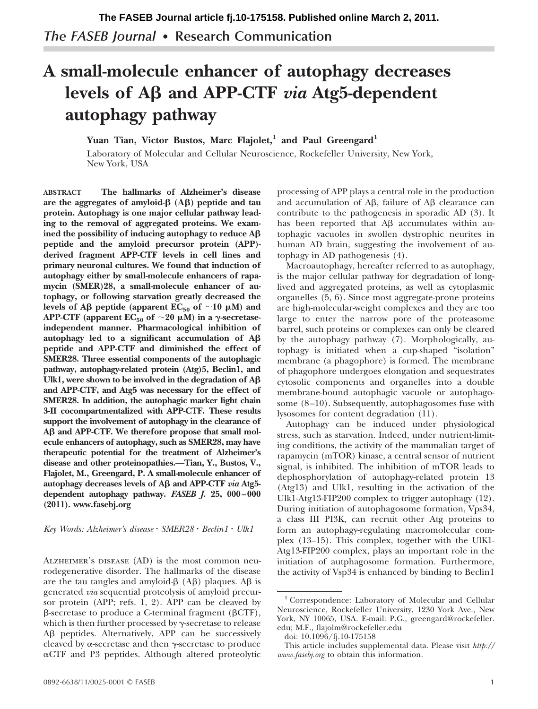# **A small-molecule enhancer of autophagy decreases** levels of Aβ and APP-CTF *via* Atg5-dependent **autophagy pathway**

Yuan Tian, Victor Bustos, Marc Flajolet,<sup>1</sup> and Paul Greengard<sup>1</sup>

Laboratory of Molecular and Cellular Neuroscience, Rockefeller University, New York, New York, USA

**ABSTRACT The hallmarks of Alzheimer's disease** are the aggregates of amyloid-β (Aβ) peptide and tau **protein. Autophagy is one major cellular pathway leading to the removal of aggregated proteins. We examined the possibility of inducing autophagy to reduce A peptide and the amyloid precursor protein (APP) derived fragment APP-CTF levels in cell lines and primary neuronal cultures. We found that induction of autophagy either by small-molecule enhancers of rapamycin (SMER)28, a small-molecule enhancer of autophagy, or following starvation greatly decreased the levels of Aβ peptide (apparent**  $EC_{50}$  **of**  $\sim$ **10**  $\mu$ **M) and** APP-CTF (apparent  $EC_{50}$  of  $\sim$  20  $\mu$ M) in a  $\gamma$ -secretase**independent manner. Pharmacological inhibition of autophagy led to a significant accumulation of A peptide and APP-CTF and diminished the effect of SMER28. Three essential components of the autophagic pathway, autophagy-related protein (Atg)5, Beclin1, and Ulk1, were shown to be involved in the degradation of A and APP-CTF, and Atg5 was necessary for the effect of SMER28. In addition, the autophagic marker light chain 3-II cocompartmentalized with APP-CTF. These results support the involvement of autophagy in the clearance of A and APP-CTF. We therefore propose that small molecule enhancers of autophagy, such as SMER28, may have therapeutic potential for the treatment of Alzheimer's disease and other proteinopathies.—Tian, Y., Bustos, V., Flajolet, M., Greengard, P. A small-molecule enhancer of** autophagy decreases levels of  $\overrightarrow{AB}$  and  $\overrightarrow{APP-CTF}$  *via*  $\overrightarrow{Atg5}$ **dependent autophagy pathway.** *FASEB J.* **25, 000–000 (2011).<www.fasebj.org>**

*Key Words: Alzheimer's disease SMER28 Beclin1 Ulk1*

ALZHEIMER'S DISEASE (AD) is the most common neurodegenerative disorder. The hallmarks of the disease are the tau tangles and amyloid- $\beta$  (A $\beta$ ) plaques. A $\beta$  is generated *via* sequential proteolysis of amyloid precursor protein (APP; refs. 1, 2). APP can be cleaved by  $\beta$ -secretase to produce a C-terminal fragment ( $\beta$ CTF), which is then further processed by  $\gamma$ -secretase to release A<sub>B</sub> peptides. Alternatively, APP can be successively cleaved by  $\alpha$ -secretase and then  $\gamma$ -secretase to produce  $\alpha$ CTF and P3 peptides. Although altered proteolytic processing of APP plays a central role in the production and accumulation of A $\beta$ , failure of A $\beta$  clearance can contribute to the pathogenesis in sporadic AD (3). It has been reported that  $\mathsf{A}\beta$  accumulates within autophagic vacuoles in swollen dystrophic neurites in human AD brain, suggesting the involvement of autophagy in AD pathogenesis (4).

Macroautophagy, hereafter referred to as autophagy, is the major cellular pathway for degradation of longlived and aggregated proteins, as well as cytoplasmic organelles (5, 6). Since most aggregate-prone proteins are high-molecular-weight complexes and they are too large to enter the narrow pore of the proteasome barrel, such proteins or complexes can only be cleared by the autophagy pathway (7). Morphologically, autophagy is initiated when a cup-shaped "isolation" membrane (a phagophore) is formed. The membrane of phagophore undergoes elongation and sequestrates cytosolic components and organelles into a double membrane-bound autophagic vacuole or autophagosome (8–10). Subsequently, autophagosomes fuse with lysosomes for content degradation (11).

Autophagy can be induced under physiological stress, such as starvation. Indeed, under nutrient-limiting conditions, the activity of the mammalian target of rapamycin (mTOR) kinase, a central sensor of nutrient signal, is inhibited. The inhibition of mTOR leads to dephosphorylation of autophagy-related protein 13 (Atg13) and Ulk1, resulting in the activation of the Ulk1-Atg13-FIP200 complex to trigger autophagy (12). During initiation of autophagosome formation, Vps34, a class III PI3K, can recruit other Atg proteins to form an autophagy-regulating macromolecular complex (13–15). This complex, together with the UlK1- Atg13-FIP200 complex, plays an important role in the initiation of autphagosome formation. Furthermore, the activity of Vsp34 is enhanced by binding to Beclin1

<sup>1</sup> Correspondence: Laboratory of Molecular and Cellular Neuroscience, Rockefeller University, 1230 York Ave., New York, NY 10065, USA. E-mail: P.G., greengard@rockefeller. edu; M.F., flajolm@rockefeller.edu

doi: 10.1096/fj.10-175158

This article includes supplemental data. Please visit *http:// www.fasebj.org* to obtain this information.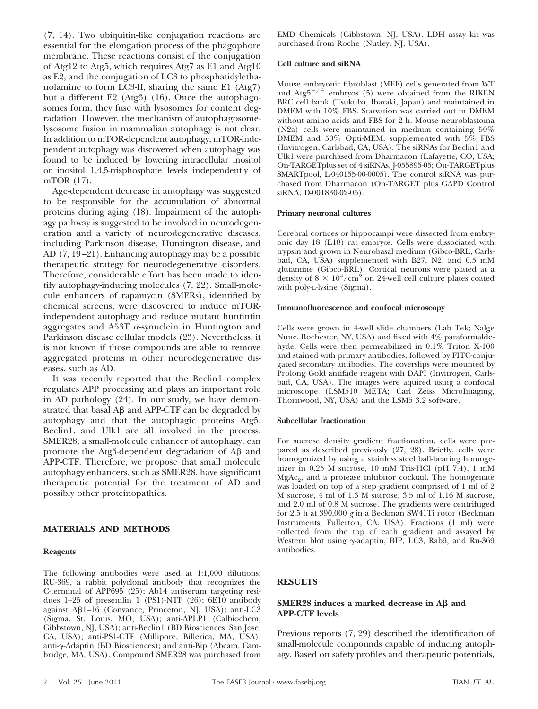(7, 14). Two ubiquitin-like conjugation reactions are essential for the elongation process of the phagophore membrane. These reactions consist of the conjugation of Atg12 to Atg5, which requires Atg7 as E1 and Atg10 as E2, and the conjugation of LC3 to phosphatidylethanolamine to form LC3-II, sharing the same E1 (Atg7) but a different E2 (Atg3) (16). Once the autophagosomes form, they fuse with lysosomes for content degradation. However, the mechanism of autophagosomelysosome fusion in mammalian autophagy is not clear. In addition to mTOR-dependent autophagy, mTOR-independent autophagy was discovered when autophagy was found to be induced by lowering intracellular inositol or inositol 1,4,5-trisphosphate levels independently of mTOR (17).

Age-dependent decrease in autophagy was suggested to be responsible for the accumulation of abnormal proteins during aging (18). Impairment of the autophagy pathway is suggested to be involved in neurodegeneration and a variety of neurodegenerative diseases, including Parkinson disease, Huntington disease, and AD (7, 19–21). Enhancing autophagy may be a possible therapeutic strategy for neurodegenerative disorders. Therefore, considerable effort has been made to identify autophagy-inducing molecules (7, 22). Small-molecule enhancers of rapamycin (SMERs), identified by chemical screens, were discovered to induce mTORindependent autophagy and reduce mutant huntintin aggregates and A53T  $\alpha$ -synuclein in Huntington and Parkinson disease cellular models (23). Nevertheless, it is not known if those compounds are able to remove aggregated proteins in other neurodegenerative diseases, such as AD.

It was recently reported that the Beclin1 complex regulates APP processing and plays an important role in AD pathology (24). In our study, we have demonstrated that basal  $A\beta$  and  $APP-CTF$  can be degraded by autophagy and that the autophagic proteins Atg5, Beclin1, and Ulk1 are all involved in the process. SMER28, a small-molecule enhancer of autophagy, can promote the Atg5-dependent degradation of A $\beta$  and APP-CTF. Therefore, we propose that small molecule autophagy enhancers, such as SMER28, have significant therapeutic potential for the treatment of AD and possibly other proteinopathies.

# **MATERIALS AND METHODS**

### **Reagents**

The following antibodies were used at 1:1,000 dilutions: RU-369, a rabbit polyclonal antibody that recognizes the C-terminal of APP695 (25); Ab14 antiserum targeting residues 1–25 of presenilin 1 (PS1)-NTF (26); 6E10 antibody against Aß1-16 (Convance, Princeton, NJ, USA); anti-LC3 (Sigma, St. Louis, MO, USA); anti-APLP1 (Calbiochem, Gibbstown, NJ, USA); anti-Beclin1 (BD Biosciences, San Jose, CA, USA); anti-PS1-CTF (Millipore, Billerica, MA, USA); anti- $\gamma$ -Adaptin (BD Biosciences); and anti-Bip (Abcam, Cambridge, MA, USA). Compound SMER28 was purchased from EMD Chemicals (Gibbstown, NJ, USA). LDH assay kit was purchased from Roche (Nutley, NJ, USA).

#### **Cell culture and siRNA**

Mouse embryonic fibroblast (MEF) cells generated from WT and  $\text{Atg5}^{-/-}$  embryos (5) were obtained from the RIKEN BRC cell bank (Tsukuba, Ibaraki, Japan) and maintained in DMEM with 10% FBS. Starvation was carried out in DMEM without amino acids and FBS for 2 h. Mouse neuroblastoma (N2a) cells were maintained in medium containing 50% DMEM and 50% Opti-MEM, supplemented with 5% FBS (Invitrogen, Carlsbad, CA, USA). The siRNAs for Beclin1 and Ulk1 were purchased from Dharmacon (Lafayette, CO, USA; On-TARGETplus set of 4 siRNAs, J-055895-05; On-TARGETplus SMARTpool, L-040155-00-0005). The control siRNA was purchased from Dharmacon (On-TARGET plus GAPD Control siRNA, D-001830-02-05).

#### **Primary neuronal cultures**

Cerebral cortices or hippocampi were dissected from embryonic day 18 (E18) rat embryos. Cells were dissociated with trypsin and grown in Neurobasal medium (Gibco-BRL, Carlsbad, CA, USA) supplemented with B27, N2, and 0.5 mM glutamine (Gibco-BRL). Cortical neurons were plated at a density of  $8 \times 10^4/\text{cm}^2$  on 24-well cell culture plates coated with poly-L-lysine (Sigma).

#### **Immunofluorescence and confocal microscopy**

Cells were grown in 4-well slide chambers (Lab Tek; Nalge Nunc, Rochester, NY, USA) and fixed with 4% paraformaldehyde. Cells were then permeabilized in 0.1% Triton X-100 and stained with primary antibodies, followed by FITC-conjugated secondary antibodies. The coverslips were mounted by Prolong Gold antifade reagent with DAPI (Invitrogen, Carlsbad, CA, USA). The images were aquired using a confocal microscope (LSM510 META; Carl Zeiss MicroImaging, Thornwood, NY, USA) and the LSM5 3.2 software.

#### **Subcellular fractionation**

For sucrose density gradient fractionation, cells were prepared as described previously (27, 28). Briefly, cells were homogenized by using a stainless steel ball-bearing homogenizer in 0.25 M sucrose, 10 mM Tris-HCl (pH 7.4), 1 mM  $MgAc<sub>2</sub>$ , and a protease inhibitor cocktail. The homogenate was loaded on top of a step gradient comprised of 1 ml of 2 M sucrose, 4 ml of 1.3 M sucrose, 3.5 ml of 1.16 M sucrose, and 2.0 ml of 0.8 M sucrose. The gradients were centrifuged for 2.5 h at 390,000 *g* in a Beckman SW41Ti rotor (Beckman Instruments, Fullerton, CA, USA). Fractions (1 ml) were collected from the top of each gradient and assayed by Western blot using  $\gamma$ -adaptin, BIP, LC3, Rab9, and Ru-369 antibodies.

## **RESULTS**

## **SMER28** induces a marked decrease in  $\mathbf{A}\mathbf{\beta}$  and **APP-CTF levels**

Previous reports (7, 29) described the identification of small-molecule compounds capable of inducing autophagy. Based on safety profiles and therapeutic potentials,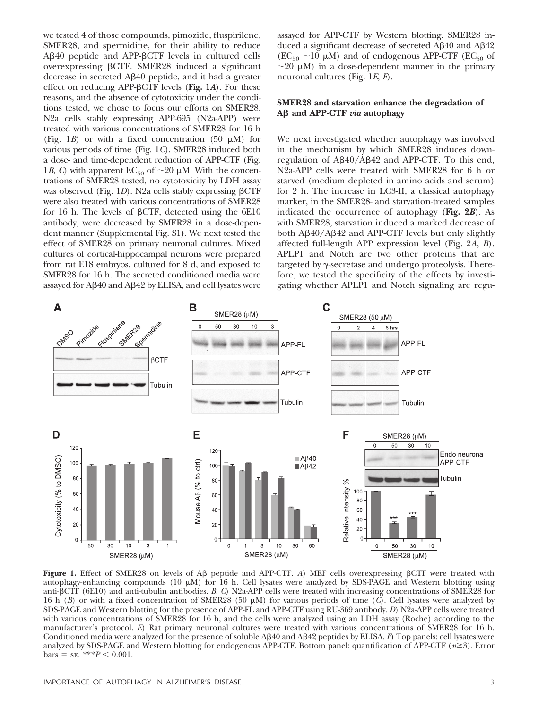we tested 4 of those compounds, pimozide, fluspirilene, SMER28, and spermidine, for their ability to reduce Aβ40 peptide and APP-βCTF levels in cultured cells overexpressing  $\beta$ CTF. SMER28 induced a significant decrease in secreted Aß40 peptide, and it had a greater effect on reducing APP- $\beta$ CTF levels (Fig. 1A). For these reasons, and the absence of cytotoxicity under the conditions tested, we chose to focus our efforts on SMER28. N2a cells stably expressing APP-695 (N2a-APP) were treated with various concentrations of SMER28 for 16 h (Fig. 1*B*) or with a fixed concentration (50  $\mu$ M) for various periods of time (Fig. 1*C*). SMER28 induced both a dose- and time-dependent reduction of APP-CTF (Fig. 1*B*, *C*) with apparent  $EC_{50}$  of  $\sim$  20  $\mu$ M. With the concentrations of SMER28 tested, no cytotoxicity by LDH assay was observed (Fig. 1*D*). N2a cells stably expressing  $\beta$ CTF were also treated with various concentrations of SMER28 for 16 h. The levels of  $\beta$ CTF, detected using the 6E10 antibody, were decreased by SMER28 in a dose-dependent manner (Supplemental Fig. S1**)**. We next tested the effect of SMER28 on primary neuronal cultures. Mixed cultures of cortical-hippocampal neurons were prepared from rat E18 embryos, cultured for 8 d, and exposed to SMER28 for 16 h. The secreted conditioned media were assayed for A $\beta$ 40 and A $\beta$ 42 by ELISA, and cell lysates were

assayed for APP-CTF by Western blotting. SMER28 induced a significant decrease of secreted Aß40 and Aß42  $(EC_{50} \sim 10 \mu M)$  and of endogenous APP-CTF (EC<sub>50</sub> of  $\sim$ 20  $\mu$ M) in a dose-dependent manner in the primary neuronal cultures (Fig. 1*E*, *F*).

# **SMER28 and starvation enhance the degradation of A and APP-CTF** *via* **autophagy**

We next investigated whether autophagy was involved in the mechanism by which SMER28 induces downregulation of AB40/AB42 and APP-CTF. To this end, N2a-APP cells were treated with SMER28 for 6 h or starved (medium depleted in amino acids and serum) for 2 h. The increase in LC3-II, a classical autophagy marker, in the SMER28- and starvation-treated samples indicated the occurrence of autophagy (**Fig. 2***B*). As with SMER28, starvation induced a marked decrease of both Aß40/Aß42 and APP-CTF levels but only slightly affected full-length APP expression level (Fig. 2*A*, *B*). APLP1 and Notch are two other proteins that are targeted by  $\gamma$ -secretase and undergo proteolysis. Therefore, we tested the specificity of the effects by investigating whether APLP1 and Notch signaling are regu-



**Figure 1.** Effect of SMER28 on levels of A $\beta$  peptide and APP-CTF. A) MEF cells overexpressing  $\beta$ CTF were treated with autophagy-enhancing compounds (10  $\mu$ M) for 16 h. Cell lysates were analyzed by SDS-PAGE and Western blotting using anti-βCTF (6E10) and anti-tubulin antibodies. *B, C*) N2a-APP cells were treated with increasing concentrations of SMER28 for 16 h (*B*) or with a fixed concentration of SMER28 (50  $\mu$ M) for various periods of time (*C*). Cell lysates were analyzed by SDS-PAGE and Western blotting for the presence of APP-FL and APP-CTF using RU-369 antibody. *D*) N2a-APP cells were treated with various concentrations of SMER28 for 16 h, and the cells were analyzed using an LDH assay (Roche) according to the manufacturer's protocol. *E*) Rat primary neuronal cultures were treated with various concentrations of SMER28 for 16 h. Conditioned media were analyzed for the presence of soluble AB40 and AB42 peptides by ELISA. *F*) Top panels: cell lysates were analyzed by SDS-PAGE and Western blotting for endogenous APP-CTF. Bottom panel: quantification of APP-CTF  $(n\geq 3)$ . Error  $\text{bars} = \text{SE}.$  \*\*\* $P < 0.001$ .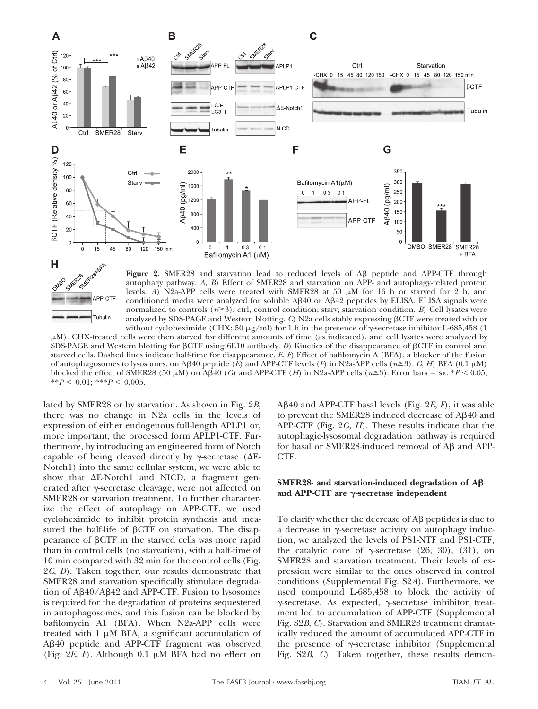



Figure 2. SMER28 and starvation lead to reduced levels of A<sub>B</sub> peptide and APP-CTF through autophagy pathway. *A*, *B*) Effect of SMER28 and starvation on APP- and autophagy-related protein levels. *A*) N2a-APP cells were treated with SMER28 at 50  $\mu$ M for 16 h or starved for 2 h, and conditioned media were analyzed for soluble AB40 or AB42 peptides by ELISA. ELISA signals were normalized to controls ( $n\geq 3$ ). ctrl, control condition; starv, starvation condition. *B*) Cell lysates were analyzed by SDS-PAGE and Western blotting. *C*) N2a cells stably expressing  $\beta$ CTF were treated with or without cycloheximide (CHX; 50  $\mu$ g/ml) for 1 h in the presence of  $\gamma$ -secretase inhibitor L-685,458 (1)

M). CHX-treated cells were then starved for different amounts of time (as indicated), and cell lysates were analyzed by SDS-PAGE and Western blotting for  $\beta$ CTF using 6E10 antibody. *D*) Kinetics of the disappearance of  $\beta$ CTF in control and starved cells. Dashed lines indicate half-time for disappearance. *E*, *F*) Effect of bafilomycin A (BFA), a blocker of the fusion of autophagosomes to lysosomes, on A $\beta$ 40 peptide (*E*) and APP-CTF levels (*F*) in N2a-APP cells ( $n \ge 3$ ). *G*, *H*) BFA (0.1  $\mu$ M) blocked the effect of SMER28 (50  $\mu$ M) on AB40 (*G*) and APP-CTF (*H*) in N2a-APP cells ( $n \ge 3$ ). Error bars = sE. \**P* < 0.05; \*\* $P < 0.01$ ; \*\*\* $P < 0.005$ .

lated by SMER28 or by starvation. As shown in Fig. 2*B*, there was no change in N2a cells in the levels of expression of either endogenous full-length APLP1 or, more important, the processed form APLP1-CTF. Furthermore, by introducing an engineered form of Notch capable of being cleaved directly by  $\gamma$ -secretase ( $\Delta E$ -Notch1) into the same cellular system, we were able to show that  $\Delta E$ -Notch1 and NICD, a fragment generated after  $\gamma$ -secretase cleavage, were not affected on SMER28 or starvation treatment. To further characterize the effect of autophagy on APP-CTF, we used cycloheximide to inhibit protein synthesis and measured the half-life of  $\beta$ CTF on starvation. The disappearance of  $\beta$ CTF in the starved cells was more rapid than in control cells (no starvation), with a half-time of 10 min compared with 32 min for the control cells (Fig. 2*C*, *D*). Taken together, our results demonstrate that SMER28 and starvation specifically stimulate degradation of Aß40/Aß42 and APP-CTF. Fusion to lysosomes is required for the degradation of proteins sequestered in autophagosomes, and this fusion can be blocked by bafilomycin A1 (BFA). When N2a-APP cells were treated with  $1 \mu M$  BFA, a significant accumulation of Aß40 peptide and APP-CTF fragment was observed (Fig.  $2E$ ,  $F$ ). Although 0.1  $\mu$ M BFA had no effect on

Aβ40 and APP-CTF basal levels (Fig. 2*E*, *F*), it was able to prevent the SMER28 induced decrease of Aß40 and APP-CTF (Fig. 2*G*, *H*). These results indicate that the autophagic-lysosomal degradation pathway is required for basal or SMER28-induced removal of Aß and APP-CTF.

# **SMER28- and starvation-induced degradation of A and APP-CTF are -secretase independent**

To clarify whether the decrease of  $A\beta$  peptides is due to a decrease in  $\gamma$ -secretase activity on autophagy induction, we analyzed the levels of PS1-NTF and PS1-CTF, the catalytic core of  $\gamma$ -secretase (26, 30), (31), on SMER28 and starvation treatment. Their levels of expression were similar to the ones observed in control conditions (Supplemental Fig. S2*A*). Furthermore, we used compound L-685,458 to block the activity of  $\gamma$ -secretase. As expected,  $\gamma$ -secretase inhibitor treatment led to accumulation of APP-CTF (Supplemental Fig. S2*B*, *C*). Starvation and SMER28 treatment dramatically reduced the amount of accumulated APP-CTF in the presence of  $\gamma$ -secretase inhibitor (Supplemental Fig. S2*B*, *C*). Taken together, these results demon-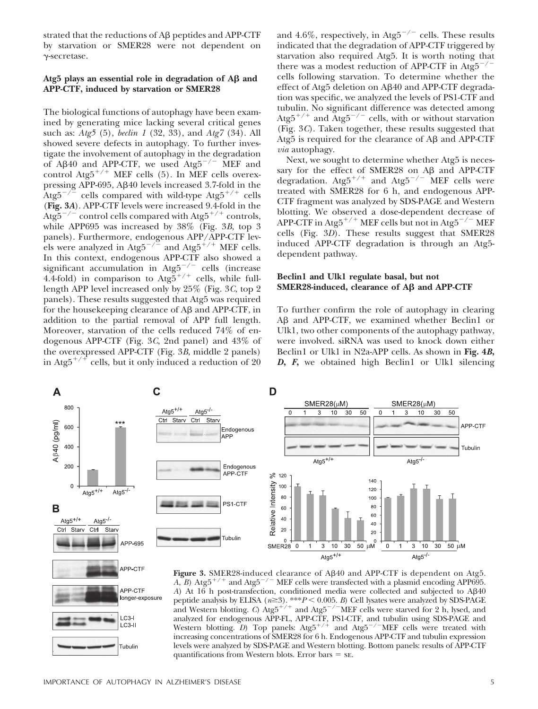strated that the reductions of  $A\beta$  peptides and  $APP-CTF$ by starvation or SMER28 were not dependent on -secretase.

# Atg5 plays an essential role in degradation of  $\mathbf{A}\mathbf{\beta}$  and **APP-CTF, induced by starvation or SMER28**

The biological functions of autophagy have been examined by generating mice lacking several critical genes such as: *Atg5* (5), *beclin 1* (32, 33), and *Atg7* (34). All showed severe defects in autophagy. To further investigate the involvement of autophagy in the degradation of A $\beta$ 40 and APP-CTF, we used Atg5<sup>-/-</sup> MEF and control Atg5<sup>+/+</sup> MEF cells (5). In MEF cells overexpressing APP-695, Aß40 levels increased 3.7-fold in the Atg5<sup>-/-</sup> cells compared with wild-type  $\text{Atg5}^{+/+}$  cells (**Fig. 3***A*). APP-CTF levels were increased 9.4-fold in the Atg5<sup>-/-</sup> control cells compared with Atg5<sup>+/+</sup> controls, while APP695 was increased by 38% (Fig. 3*B*, top 3 panels). Furthermore, endogenous APP/APP-CTF levels were analyzed in  $\text{Atg5}^{-/-}$  and  $\text{Atg5}^{+/+}$  MEF cells. In this context, endogenous APP-CTF also showed a significant accumulation in Atg5 $^{-/-}$  cells (increase 4.4-fold) in comparison to  $\text{Atg\textsc{5}}^{+/-}$  cells, while fulllength APP level increased only by 25% (Fig. 3*C*, top 2 panels). These results suggested that Atg5 was required for the housekeeping clearance of  $A\beta$  and  $APP-CTF$ , in addition to the partial removal of APP full length. Moreover, starvation of the cells reduced 74% of endogenous APP-CTF (Fig. 3*C*, 2nd panel) and 43% of the overexpressed APP-CTF (Fig. 3*B*, middle 2 panels) in Atg5<sup> $+/+$ </sup> cells, but it only induced a reduction of 20

and 4.6%, respectively, in Atg5<sup>-/-</sup> cells. These results indicated that the degradation of APP-CTF triggered by starvation also required Atg5. It is worth noting that there was a modest reduction of APP-CTF in  $Atg5^{-/}$ cells following starvation. To determine whether the effect of Atg5 deletion on Aβ40 and APP-CTF degradation was specific, we analyzed the levels of PS1-CTF and tubulin. No significant difference was detected among Atg5<sup>+/+</sup> and Atg5<sup>-/-</sup> cells, with or without starvation (Fig. 3*C*). Taken together, these results suggested that Atg5 is required for the clearance of A $\beta$  and APP-CTF *via* autophagy.

Next, we sought to determine whether Atg5 is necessary for the effect of SMER28 on  $A\beta$  and APP-CTF degradation.  $\text{Atg5}^{+/+}$  and  $\text{Atg5}^{-/-}$  MEF cells were treated with SMER28 for 6 h, and endogenous APP-CTF fragment was analyzed by SDS-PAGE and Western blotting. We observed a dose-dependent decrease of APP-CTF in Atg5<sup>+/+</sup> MEF cells but not in Atg5<sup>-/-</sup> MEF cells (Fig. 3*D*). These results suggest that SMER28 induced APP-CTF degradation is through an Atg5 dependent pathway.

# **Beclin1 and Ulk1 regulate basal, but not SMER28-induced, clearance of**  $\mathbf{A}\boldsymbol{\beta}$  **and**  $\mathbf{APP}\text{-}\mathbf{CTF}$

To further confirm the role of autophagy in clearing Aß and APP-CTF, we examined whether Beclin1 or Ulk1, two other components of the autophagy pathway, were involved. siRNA was used to knock down either Beclin1 or Ulk1 in N2a-APP cells. As shown in **Fig. 4***B***,** *D***,** *F***,** we obtained high Beclin1 or Ulk1 silencing



Figure 3. SMER28-induced clearance of A<sub>B</sub>40 and APP-CTF is dependent on Atg5. *A*, *B*) Atg5<sup> $+/+$ </sup> and Atg5<sup> $-/-$ </sup> MEF cells were transfected with a plasmid encoding APP695. A) At 16 h post-transfection, conditioned media were collected and subjected to Aβ40 peptide analysis by ELISA (*n*≥3). \*\*\**P* < 0.005. *B*) Cell lysates were analyzed by SDS-PAGE and Western blotting. *C*) Atg5<sup>+/+</sup> and Atg5<sup>-/−</sup>MEF cells were starved for 2 h, lysed, and analyzed for endogenous APP-FL, APP-CTF, PS1-CTF, and tubulin using SDS-PAGE and<br>Western blotting. *D*) Top panels: Atg5<sup>+/+</sup> and Atg5<sup>-/--</sup>MEF cells were treated with increasing concentrations of SMER28 for 6 h. Endogenous APP-CTF and tubulin expression levels were analyzed by SDS-PAGE and Western blotting. Bottom panels: results of APP-CTF quantifications from Western blots. Error bars  $=$  se.

APP-CTF longer-exposure

 $LC3-I$  $LC3-I$ 

Tubulin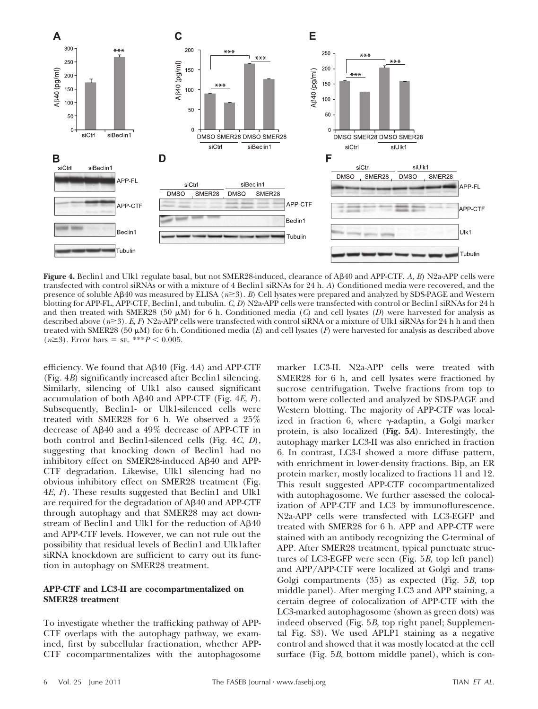

**Figure 4.** Beclin1 and Ulk1 regulate basal, but not SMER28-induced, clearance of A-40 and APP-CTF. *A*, *B*) N2a-APP cells were transfected with control siRNAs or with a mixture of 4 Beclin1 siRNAs for 24 h. *A*) Conditioned media were recovered, and the presence of soluble A $\beta$ 40 was measured by ELISA ( $n \ge 3$ ). *B*) Cell lysates were prepared and analyzed by SDS-PAGE and Western blotting for APP-FL, APP-CTF, Beclin1, and tubulin. *C*, *D*) N2a-APP cells were transfected with control or Beclin1 siRNAs for 24 h and then treated with SMER28 (50  $\mu$ M) for 6 h. Conditioned media (C) and cell lysates (D) were harvested for analysis as described above  $(n\geq 3)$ . *E*, *F*) N2a-APP cells were transfected with control siRNA or a mixture of Ulk1 siRNAs for 24 h h and then treated with SMER28 (50  $\mu$ M) for 6 h. Conditioned media (*E*) and cell lysates (*F*) were harvested for analysis as described above  $(n \ge 3)$ . Error bars = se. \*\*\* $P < 0.005$ .

efficiency. We found that Aß40 (Fig. 4A) and APP-CTF (Fig. 4*B*) significantly increased after Beclin1 silencing. Similarly, silencing of Ulk1 also caused significant accumulation of both A<sub>B</sub>40 and APP-CTF (Fig. 4*E*, *F*). Subsequently, Beclin1- or Ulk1-silenced cells were treated with SMER28 for 6 h. We observed a 25% decrease of Aß40 and a 49% decrease of APP-CTF in both control and Beclin1-silenced cells (Fig. 4*C*, *D*), suggesting that knocking down of Beclin1 had no inhibitory effect on SMER28-induced Aß40 and APP-CTF degradation. Likewise, Ulk1 silencing had no obvious inhibitory effect on SMER28 treatment (Fig. 4*E*, *F*). These results suggested that Beclin1 and Ulk1 are required for the degradation of  $A\beta40$  and  $APP\text{-}CTF$ through autophagy and that SMER28 may act downstream of Beclin1 and Ulk1 for the reduction of Aß40 and APP-CTF levels. However, we can not rule out the possibility that residual levels of Beclin1 and Ulk1after siRNA knockdown are sufficient to carry out its function in autophagy on SMER28 treatment.

# **APP-CTF and LC3-II are cocompartmentalized on SMER28 treatment**

To investigate whether the trafficking pathway of APP-CTF overlaps with the autophagy pathway, we examined, first by subcellular fractionation, whether APP-CTF cocompartmentalizes with the autophagosome

marker LC3-II. N2a-APP cells were treated with SMER28 for 6 h, and cell lysates were fractioned by sucrose centrifugation. Twelve fractions from top to bottom were collected and analyzed by SDS-PAGE and Western blotting. The majority of APP-CTF was localized in fraction 6, where  $\gamma$ -adaptin, a Golgi marker protein, is also localized (**Fig. 5***A*). Interestingly, the autophagy marker LC3-II was also enriched in fraction 6. In contrast, LC3-I showed a more diffuse pattern, with enrichment in lower-density fractions. Bip, an ER protein marker, mostly localized to fractions 11 and 12. This result suggested APP-CTF cocompartmentalized with autophagosome. We further assessed the colocalization of APP-CTF and LC3 by immunoflurescence. N2a-APP cells were transfected with LC3-EGFP and treated with SMER28 for 6 h. APP and APP-CTF were stained with an antibody recognizing the C-terminal of APP. After SMER28 treatment, typical punctuate structures of LC3-EGFP were seen (Fig. 5*B*, top left panel) and APP/APP-CTF were localized at Golgi and trans-Golgi compartments (35) as expected (Fig. 5*B*, top middle panel). After merging LC3 and APP staining, a certain degree of colocalization of APP-CTF with the LC3-marked autophagosome (shown as green dots) was indeed observed (Fig. 5*B*, top right panel; Supplemental Fig. S3). We used APLP1 staining as a negative control and showed that it was mostly located at the cell surface (Fig. 5*B*, bottom middle panel), which is con-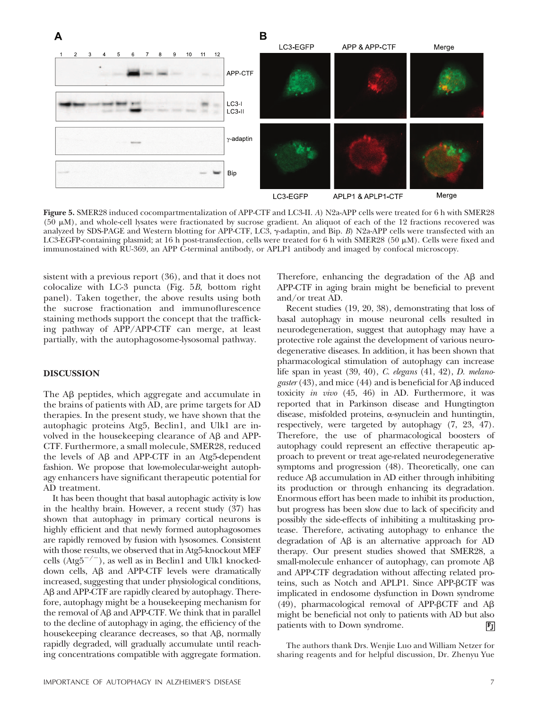

**Figure 5.** SMER28 induced cocompartmentalization of APP-CTF and LC3-II. *A*) N2a-APP cells were treated for 6 h with SMER28 (50  $\mu$ M), and whole-cell lysates were fractionated by sucrose gradient. An aliquot of each of the 12 fractions recovered was analyzed by SDS-PAGE and Western blotting for APP-CTF, LC3,  $\gamma$ -adaptin, and Bip. *B*) N2a-APP cells were transfected with an LC3-EGFP-containing plasmid; at 16 h post-transfection, cells were treated for 6 h with SMER28 (50  $\mu$ M). Cells were fixed and immunostained with RU-369, an APP C-terminal antibody, or APLP1 antibody and imaged by confocal microscopy.

sistent with a previous report (36), and that it does not colocalize with LC-3 puncta (Fig. 5*B*, bottom right panel). Taken together, the above results using both the sucrose fractionation and immunoflurescence staining methods support the concept that the trafficking pathway of APP/APP-CTF can merge, at least partially, with the autophagosome-lysosomal pathway.

# **DISCUSSION**

The A<sub>B</sub> peptides, which aggregate and accumulate in the brains of patients with AD, are prime targets for AD therapies. In the present study, we have shown that the autophagic proteins Atg5, Beclin1, and Ulk1 are involved in the housekeeping clearance of  $A\beta$  and  $APP$ -CTF. Furthermore, a small molecule, SMER28, reduced the levels of  $A\beta$  and APP-CTF in an Atg5-dependent fashion. We propose that low-molecular-weight autophagy enhancers have significant therapeutic potential for AD treatment.

It has been thought that basal autophagic activity is low in the healthy brain. However, a recent study (37) has shown that autophagy in primary cortical neurons is highly efficient and that newly formed autophagosomes are rapidly removed by fusion with lysosomes. Consistent with those results, we observed that in Atg5-knockout MEF cells (Atg5<sup>-/-</sup>), as well as in Beclin1 and Ulk1 knockeddown cells, Aß and APP-CTF levels were dramatically increased, suggesting that under physiological conditions, Aß and APP-CTF are rapidly cleared by autophagy. Therefore, autophagy might be a housekeeping mechanism for the removal of  $A\beta$  and APP-CTF. We think that in parallel to the decline of autophagy in aging, the efficiency of the housekeeping clearance decreases, so that A $\beta$ , normally rapidly degraded, will gradually accumulate until reaching concentrations compatible with aggregate formation.

Therefore, enhancing the degradation of the  $A\beta$  and APP-CTF in aging brain might be beneficial to prevent and/or treat AD.

Recent studies (19, 20, 38), demonstrating that loss of basal autophagy in mouse neuronal cells resulted in neurodegeneration, suggest that autophagy may have a protective role against the development of various neurodegenerative diseases. In addition, it has been shown that pharmacological stimulation of autophagy can increase life span in yeast (39, 40), *C. elegans* (41, 42), *D. melano*gaster (43), and mice (44) and is beneficial for A<sub>B</sub> induced toxicity *in vivo* (45, 46) in AD. Furthermore, it was reported that in Parkinson disease and Hungtington disease, misfolded proteins,  $\alpha$ -synuclein and huntingtin, respectively, were targeted by autophagy (7, 23, 47). Therefore, the use of pharmacological boosters of autophagy could represent an effective therapeutic approach to prevent or treat age-related neurodegenerative symptoms and progression (48). Theoretically, one can reduce A $\beta$  accumulation in AD either through inhibiting its production or through enhancing its degradation. Enormous effort has been made to inhibit its production, but progress has been slow due to lack of specificity and possibly the side-effects of inhibiting a multitasking protease. Therefore, activating autophagy to enhance the degradation of  $\mathbf{A}\mathbf{\beta}$  is an alternative approach for  $\mathbf{A}\mathbf{D}$ therapy. Our present studies showed that SMER28, a  $small$ -molecule enhancer of autophagy, can promote  $A\beta$ and APP-CTF degradation without affecting related proteins, such as Notch and APLP1. Since APP-BCTF was implicated in endosome dysfunction in Down syndrome (49), pharmacological removal of APP- $\beta$ CTF and A $\beta$ might be beneficial not only to patients with AD but also patients with to Down syndrome.  $\mathbf{F}$ 

The authors thank Drs. Wenjie Luo and William Netzer for sharing reagents and for helpful discussion, Dr. Zhenyu Yue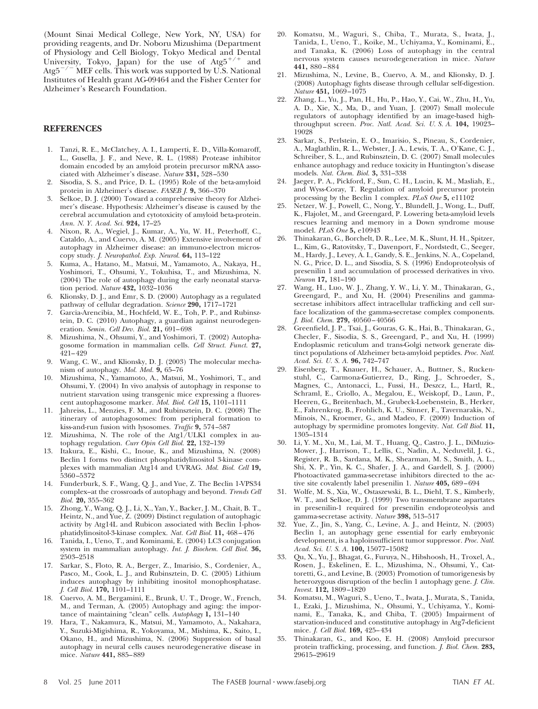(Mount Sinai Medical College, New York, NY, USA) for providing reagents, and Dr. Noboru Mizushima (Department of Physiology and Cell Biology, Tokyo Medical and Dental University, Tokyo, Japan) for the use of  $\text{Atg5}^{+/+}$  and  $Atg5^{-/-}$  MEF cells. This work was supported by U.S. National Institutes of Health grant AG-09464 and the Fisher Center for Alzheimer's Research Foundation.

## **REFERENCES**

- 1. Tanzi, R. E., McClatchey, A. I., Lamperti, E. D., Villa-Komaroff, L., Gusella, J. F., and Neve, R. L. (1988) Protease inhibitor domain encoded by an amyloid protein precursor mRNA associated with Alzheimer's disease. *Nature* **331,** 528–530
- 2. Sisodia, S. S., and Price, D. L. (1995) Role of the beta-amyloid protein in Alzheimer's disease. *FASEB J.* **9,** 366–370
- 3. Selkoe, D. J. (2000) Toward a comprehensive theory for Alzheimer's disease. Hypothesis: Alzheimer's disease is caused by the cerebral accumulation and cytotoxicity of amyloid beta-protein. *Ann. N. Y. Acad. Sci.* **924,** 17–25
- 4. Nixon, R. A., Wegiel, J., Kumar, A., Yu, W. H., Peterhoff, C., Cataldo, A., and Cuervo, A. M. (2005) Extensive involvement of autophagy in Alzheimer disease: an immuno-electron microscopy study. *J. Neuropathol. Exp. Neurol.* **64,** 113–122
- 5. Kuma, A., Hatano, M., Matsui, M., Yamamoto, A., Nakaya, H., Yoshimori, T., Ohsumi, Y., Tokuhisa, T., and Mizushima, N. (2004) The role of autophagy during the early neonatal starvation period. *Nature* **432,** 1032–1036
- 6. Klionsky, D. J., and Emr, S. D. (2000) Autophagy as a regulated pathway of cellular degradation. *Science* **290,** 1717–1721
- 7. Garcia-Arencibia, M., Hochfeld, W. E., Toh, P. P., and Rubinsztein, D. C. (2010) Autophagy, a guardian against neurodegeneration. *Semin. Cell Dev. Biol.* **21,** 691–698
- 8. Mizushima, N., Ohsumi, Y., and Yoshimori, T. (2002) Autophagosome formation in mammalian cells. *Cell Struct. Funct.* **27,** 421–429
- 9. Wang, C. W., and Klionsky, D. J. (2003) The molecular mechanism of autophagy. *Mol. Med.* **9,** 65–76
- 10. Mizushima, N., Yamamoto, A., Matsui, M., Yoshimori, T., and Ohsumi, Y. (2004) In vivo analysis of autophagy in response to nutrient starvation using transgenic mice expressing a fluorescent autophagosome marker. *Mol. Biol. Cell* **15,** 1101–1111
- 11. Jahreiss, L., Menzies, F. M., and Rubinsztein, D. C. (2008) The itinerary of autophagosomes: from peripheral formation to kiss-and-run fusion with lysosomes. *Traffic* **9,** 574–587
- 12. Mizushima, N. The role of the Atg1/ULK1 complex in autophagy regulation. *Curr Opin Cell Biol.* **22,** 132–139
- 13. Itakura, E., Kishi, C., Inoue, K., and Mizushima, N. (2008) Beclin 1 forms two distinct phosphatidylinositol 3-kinase complexes with mammalian Atg14 and UVRAG. *Mol. Biol. Cell* **19,** 5360–5372
- 14. Funderburk, S. F., Wang, Q. J., and Yue, Z. The Beclin 1-VPS34 complex–at the crossroads of autophagy and beyond. *Trends Cell Biol.* **20,** 355–362
- 15. Zhong, Y., Wang, Q. J., Li, X., Yan, Y., Backer, J. M., Chait, B. T., Heintz, N., and Yue, Z. (2009) Distinct regulation of autophagic activity by Atg14L and Rubicon associated with Beclin 1-phosphatidylinositol-3-kinase complex. *Nat. Cell Biol.* **11,** 468–476
- 16. Tanida, I., Ueno, T., and Kominami, E. (2004) LC3 conjugation system in mammalian autophagy. *Int. J. Biochem. Cell Biol.* **36,** 2503–2518
- 17. Sarkar, S., Floto, R. A., Berger, Z., Imarisio, S., Cordenier, A., Pasco, M., Cook, L. J., and Rubinsztein, D. C. (2005) Lithium induces autophagy by inhibiting inositol monophosphatase. *J. Cell Biol.* **170,** 1101–1111
- 18. Cuervo, A. M., Bergamini, E., Brunk, U. T., Droge, W., French, M., and Terman, A. (2005) Autophagy and aging: the importance of maintaining "clean" cells. *Autophagy* **1,** 131–140
- 19. Hara, T., Nakamura, K., Matsui, M., Yamamoto, A., Nakahara, Y., Suzuki-Migishima, R., Yokoyama, M., Mishima, K., Saito, I., Okano, H., and Mizushima, N. (2006) Suppression of basal autophagy in neural cells causes neurodegenerative disease in mice. *Nature* **441,** 885–889
- 20. Komatsu, M., Waguri, S., Chiba, T., Murata, S., Iwata, J., Tanida, I., Ueno, T., Koike, M., Uchiyama, Y., Kominami, E., and Tanaka, K. (2006) Loss of autophagy in the central nervous system causes neurodegeneration in mice. *Nature* **441,** 880–884
- 21. Mizushima, N., Levine, B., Cuervo, A. M., and Klionsky, D. J. (2008) Autophagy fights disease through cellular self-digestion. *Nature* **451,** 1069–1075
- 22. Zhang, L., Yu, J., Pan, H., Hu, P., Hao, Y., Cai, W., Zhu, H., Yu, A. D., Xie, X., Ma, D., and Yuan, J. (2007) Small molecule regulators of autophagy identified by an image-based highthroughput screen. *Proc. Natl. Acad. Sci. U. S. A.* **104,** 19023– 19028
- 23. Sarkar, S., Perlstein, E. O., Imarisio, S., Pineau, S., Cordenier, A., Maglathlin, R. L., Webster, J. A., Lewis, T. A., O'Kane, C. J., Schreiber, S. L., and Rubinsztein, D. C. (2007) Small molecules enhance autophagy and reduce toxicity in Huntington's disease models. *Nat. Chem. Biol.* **3,** 331–338
- 24. Jaeger, P. A., Pickford, F., Sun, C. H., Lucin, K. M., Masliah, E., and Wyss-Coray, T. Regulation of amyloid precursor protein processing by the Beclin 1 complex. *PLoS One* **5,** e11102
- 25. Netzer, W. J., Powell, C., Nong, Y., Blundell, J., Wong, L., Duff, K., Flajolet, M., and Greengard, P. Lowering beta-amyloid levels rescues learning and memory in a Down syndrome mouse model. *PLoS One* **5,** e10943
- 26. Thinakaran, G., Borchelt, D. R., Lee, M. K., Slunt, H. H., Spitzer, L., Kim, G., Ratovitsky, T., Davenport, F., Nordstedt, C., Seeger, M., Hardy, J., Levey, A. I., Gandy, S. E., Jenkins, N. A., Copeland, N. G., Price, D. L., and Sisodia, S. S. (1996) Endoproteolysis of presenilin 1 and accumulation of processed derivatives in vivo. *Neuron* **17,** 181–190
- 27. Wang, H., Luo, W. J., Zhang, Y. W., Li, Y. M., Thinakaran, G., Greengard, P., and Xu, H. (2004) Presenilins and gammasecretase inhibitors affect intracellular trafficking and cell surface localization of the gamma-secretase complex components. *J. Biol. Chem.* **279,** 40560–40566
- 28. Greenfield, J. P., Tsai, J., Gouras, G. K., Hai, B., Thinakaran, G., Checler, F., Sisodia, S. S., Greengard, P., and Xu, H. (1999) Endoplasmic reticulum and trans-Golgi network generate distinct populations of Alzheimer beta-amyloid peptides. *Proc. Natl. Acad. Sci. U. S. A.* **96,** 742–747
- 29. Eisenberg, T., Knauer, H., Schauer, A., Buttner, S., Ruckenstuhl, C., Carmona-Gutierrez, D., Ring, J., Schroeder, S., Magnes, C., Antonacci, L., Fussi, H., Deszcz, L., Hartl, R., Schraml, E., Criollo, A., Megalou, E., Weiskopf, D., Laun, P., Heeren, G., Breitenbach, M., Grubeck-Loebenstein, B., Herker, E., Fahrenkrog, B., Frohlich, K. U., Sinner, F., Tavernarakis, N., Minois, N., Kroemer, G., and Madeo, F. (2009) Induction of autophagy by spermidine promotes longevity. *Nat. Cell Biol.* **11,** 1305–1314
- 30. Li, Y. M., Xu, M., Lai, M. T., Huang, Q., Castro, J. L., DiMuzio-Mower, J., Harrison, T., Lellis, C., Nadin, A., Neduvelil, J. G., Register, R. B., Sardana, M. K., Shearman, M. S., Smith, A. L., Shi, X. P., Yin, K. C., Shafer, J. A., and Gardell, S. J. (2000) Photoactivated gamma-secretase inhibitors directed to the active site covalently label presenilin 1. *Nature* **405,** 689–694
- 31. Wolfe, M. S., Xia, W., Ostaszewski, B. L., Diehl, T. S., Kimberly, W. T., and Selkoe, D. J. (1999) Two transmembrane aspartates in presenilin-1 required for presenilin endoproteolysis and gamma-secretase activity. *Nature* **398,** 513–517
- Yue, Z., Jin, S., Yang, C., Levine, A. J., and Heintz, N. (2003) Beclin 1, an autophagy gene essential for early embryonic development, is a haploinsufficient tumor suppressor. *Proc. Natl. Acad. Sci. U. S. A.* **100,** 15077–15082
- 33. Qu, X., Yu, J., Bhagat, G., Furuya, N., Hibshoosh, H., Troxel, A., Rosen, J., Eskelinen, E. L., Mizushima, N., Ohsumi, Y., Cattoretti, G., and Levine, B. (2003) Promotion of tumorigenesis by heterozygous disruption of the beclin 1 autophagy gene. *J. Clin. Invest.* **112,** 1809–1820
- 34. Komatsu, M., Waguri, S., Ueno, T., Iwata, J., Murata, S., Tanida, I., Ezaki, J., Mizushima, N., Ohsumi, Y., Uchiyama, Y., Kominami, E., Tanaka, K., and Chiba, T. (2005) Impairment of starvation-induced and constitutive autophagy in Atg7-deficient mice. *J. Cell Biol.* **169,** 425–434
- 35. Thinakaran, G., and Koo, E. H. (2008) Amyloid precursor protein trafficking, processing, and function. *J. Biol. Chem.* **283,** 29615–29619